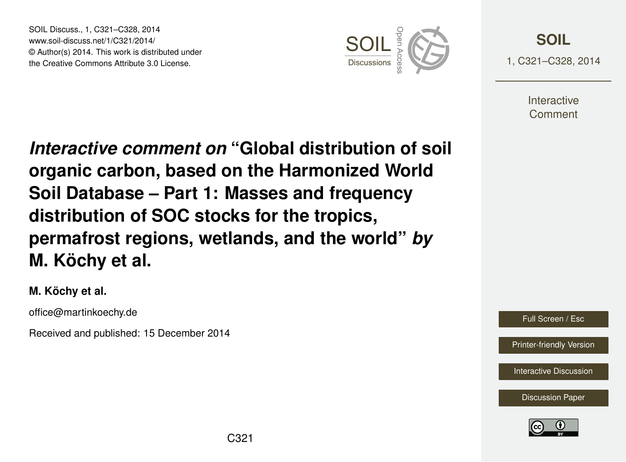SOIL Discuss., 1, C321–C328, 2014 www.soil-discuss.net/1/C321/2014/ © Author(s) 2014. This work is distributed under SOIL Discuss., 1, C321–C328, 2014<br>www.soil-discuss.net/1/C321/2014/<br>
© Author(s) 2014. This work is distributed under<br>
the Creative Commons Attribute 3.0 License.



**[SOIL](http://www.soil-discuss.net)** 1, C321–C328, 2014

> **Interactive** Comment

*Interactive comment on* **"Global distribution of soil organic carbon, based on the Harmonized World Soil Database – Part 1: Masses and frequency distribution of SOC stocks for the tropics, permafrost regions, wetlands, and the world"** *by* **M. Köchy et al.**

**M. Köchy et al.**

office@martinkoechy.de

Received and published: 15 December 2014

Full Screen / Esc

[Printer-friendly Version](http://www.soil-discuss.net/1/C321/2014/soild-1-C321-2014-print.pdf)

[Interactive Discussion](http://www.soil-discuss.net/1/327/2014/soild-1-327-2014-discussion.html)

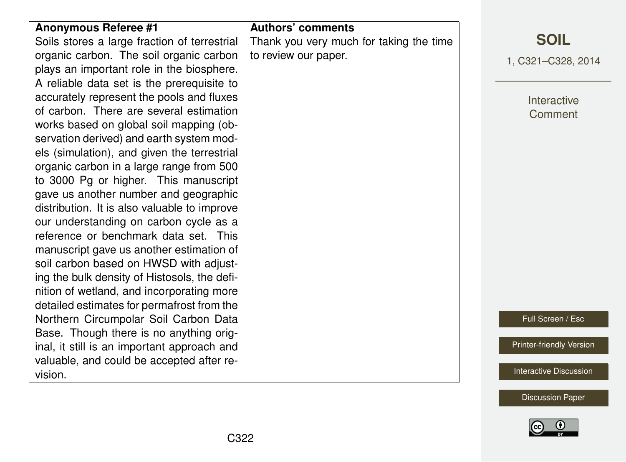| <b>Anonymous Referee #1</b>                  | <b>Authors' comments</b>                |                               |
|----------------------------------------------|-----------------------------------------|-------------------------------|
| Soils stores a large fraction of terrestrial | Thank you very much for taking the time | <b>SOIL</b>                   |
| organic carbon. The soil organic carbon      | to review our paper.                    |                               |
| plays an important role in the biosphere.    |                                         | 1, C321-C328, 2014            |
| A reliable data set is the prerequisite to   |                                         |                               |
| accurately represent the pools and fluxes    |                                         |                               |
| of carbon. There are several estimation      |                                         | Interactive                   |
|                                              |                                         | Comment                       |
| works based on global soil mapping (ob-      |                                         |                               |
| servation derived) and earth system mod-     |                                         |                               |
| els (simulation), and given the terrestrial  |                                         |                               |
| organic carbon in a large range from 500     |                                         |                               |
| to 3000 Pg or higher. This manuscript        |                                         |                               |
| gave us another number and geographic        |                                         |                               |
| distribution. It is also valuable to improve |                                         |                               |
| our understanding on carbon cycle as a       |                                         |                               |
| reference or benchmark data set. This        |                                         |                               |
| manuscript gave us another estimation of     |                                         |                               |
| soil carbon based on HWSD with adjust-       |                                         |                               |
| ing the bulk density of Histosols, the defi- |                                         |                               |
| nition of wetland, and incorporating more    |                                         |                               |
| detailed estimates for permafrost from the   |                                         |                               |
| Northern Circumpolar Soil Carbon Data        |                                         | Full Screen / Esc             |
| Base. Though there is no anything orig-      |                                         |                               |
| inal, it still is an important approach and  |                                         | Printer-friendly Version      |
| valuable, and could be accepted after re-    |                                         |                               |
| vision.                                      |                                         | <b>Interactive Discussion</b> |
|                                              |                                         |                               |
|                                              |                                         | <b>Discussion Paper</b>       |

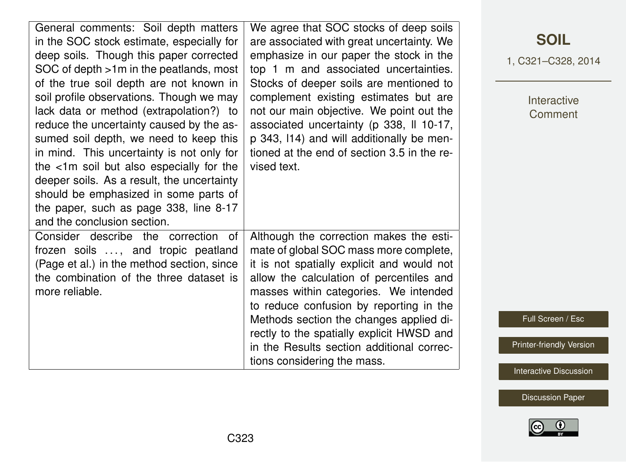| General comments: Soil depth matters<br>in the SOC stock estimate, especially for<br>deep soils. Though this paper corrected<br>SOC of depth >1m in the peatlands, most<br>of the true soil depth are not known in<br>soil profile observations. Though we may<br>lack data or method (extrapolation?) to<br>reduce the uncertainty caused by the as-<br>sumed soil depth, we need to keep this<br>in mind. This uncertainty is not only for<br>the <1m soil but also especially for the<br>deeper soils. As a result, the uncertainty<br>should be emphasized in some parts of<br>the paper, such as page 338, line 8-17<br>and the conclusion section. | We agree that SOC stocks of deep soils<br>are associated with great uncertainty. We<br>emphasize in our paper the stock in the<br>top 1 m and associated uncertainties.<br>Stocks of deeper soils are mentioned to<br>complement existing estimates but are<br>not our main objective. We point out the<br>associated uncertainty (p 338, Il 10-17,<br>p 343, I14) and will additionally be men-<br>tioned at the end of section 3.5 in the re-<br>vised text. |
|----------------------------------------------------------------------------------------------------------------------------------------------------------------------------------------------------------------------------------------------------------------------------------------------------------------------------------------------------------------------------------------------------------------------------------------------------------------------------------------------------------------------------------------------------------------------------------------------------------------------------------------------------------|----------------------------------------------------------------------------------------------------------------------------------------------------------------------------------------------------------------------------------------------------------------------------------------------------------------------------------------------------------------------------------------------------------------------------------------------------------------|
| Consider describe the correction of<br>frozen soils , and tropic peatland<br>(Page et al.) in the method section, since<br>the combination of the three dataset is<br>more reliable.                                                                                                                                                                                                                                                                                                                                                                                                                                                                     | Although the correction makes the esti-<br>mate of global SOC mass more complete,<br>it is not spatially explicit and would not<br>allow the calculation of percentiles and<br>masses within categories. We intended<br>to reduce confusion by reporting in the<br>Methods section the changes applied di-<br>rectly to the spatially explicit HWSD and<br>in the Results section additional correc-<br>tions considering the mass.                            |

## **[SOIL](http://www.soil-discuss.net)**

1, C321–C328, 2014

Interactive **Comment** 

Full Screen / Esc

[Printer-friendly Version](http://www.soil-discuss.net/1/C321/2014/soild-1-C321-2014-print.pdf)

[Interactive Discussion](http://www.soil-discuss.net/1/327/2014/soild-1-327-2014-discussion.html)

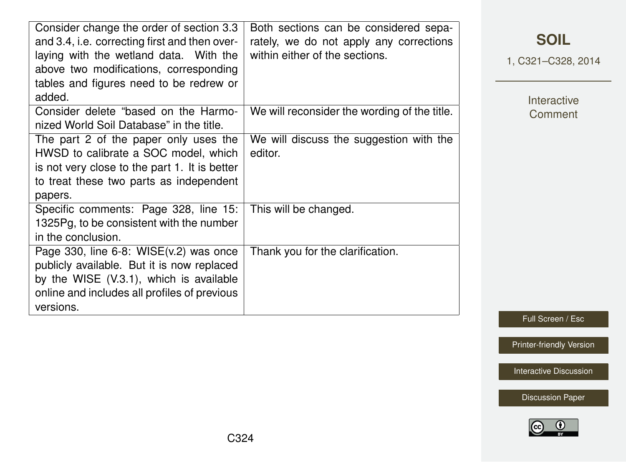| Consider change the order of section 3.3<br>and 3.4, i.e. correcting first and then over-<br>laying with the wetland data. With the<br>above two modifications, corresponding<br>tables and figures need to be redrew or<br>added. | Both sections can be considered sepa-<br>rately, we do not apply any corrections<br>within either of the sections. |
|------------------------------------------------------------------------------------------------------------------------------------------------------------------------------------------------------------------------------------|--------------------------------------------------------------------------------------------------------------------|
| Consider delete "based on the Harmo-<br>nized World Soil Database" in the title.                                                                                                                                                   | We will reconsider the wording of the title.                                                                       |
| The part 2 of the paper only uses the<br>HWSD to calibrate a SOC model, which<br>is not very close to the part 1. It is better<br>to treat these two parts as independent<br>papers.                                               | We will discuss the suggestion with the<br>editor.                                                                 |
| Specific comments: Page 328, line 15:<br>1325Pg, to be consistent with the number<br>in the conclusion.                                                                                                                            | This will be changed.                                                                                              |
| Page 330, line $6-8$ : WISE $(v.2)$ was once<br>publicly available. But it is now replaced<br>by the WISE (V.3.1), which is available<br>online and includes all profiles of previous<br>versions.                                 | Thank you for the clarification.                                                                                   |

**[SOIL](http://www.soil-discuss.net)**

1, C321–C328, 2014

Interactive **Comment** 

Full Screen / Esc

[Printer-friendly Version](http://www.soil-discuss.net/1/C321/2014/soild-1-C321-2014-print.pdf)

[Interactive Discussion](http://www.soil-discuss.net/1/327/2014/soild-1-327-2014-discussion.html)

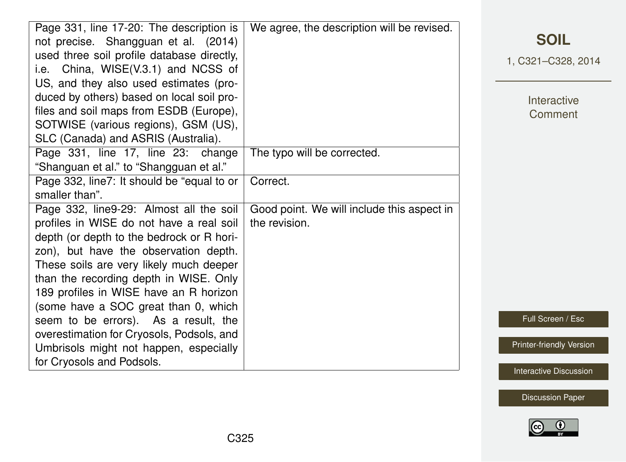| Page 331, line 17-20: The description is<br>not precise. Shangguan et al. (2014)<br>used three soil profile database directly,<br>i.e. China, WISE(V.3.1) and NCSS of<br>US, and they also used estimates (pro-<br>duced by others) based on local soil pro-<br>files and soil maps from ESDB (Europe),<br>SOTWISE (various regions), GSM (US),<br>SLC (Canada) and ASRIS (Australia).                                                                                                                       | We agree, the description will be revised.                  |
|--------------------------------------------------------------------------------------------------------------------------------------------------------------------------------------------------------------------------------------------------------------------------------------------------------------------------------------------------------------------------------------------------------------------------------------------------------------------------------------------------------------|-------------------------------------------------------------|
| Page 331, line 17, line 23: change<br>"Shanguan et al." to "Shangguan et al."                                                                                                                                                                                                                                                                                                                                                                                                                                | The typo will be corrected.                                 |
| Page 332, line7: It should be "equal to or<br>smaller than".                                                                                                                                                                                                                                                                                                                                                                                                                                                 | Correct.                                                    |
| Page 332, line9-29: Almost all the soil<br>profiles in WISE do not have a real soil<br>depth (or depth to the bedrock or R hori-<br>zon), but have the observation depth.<br>These soils are very likely much deeper<br>than the recording depth in WISE. Only<br>189 profiles in WISE have an R horizon<br>(some have a SOC great than 0, which<br>seem to be errors). As a result, the<br>overestimation for Cryosols, Podsols, and<br>Umbrisols might not happen, especially<br>for Cryosols and Podsols. | Good point. We will include this aspect in<br>the revision. |

1, C321–C328, 2014

Interactive **Comment** 

Full Screen / Esc

[Printer-friendly Version](http://www.soil-discuss.net/1/C321/2014/soild-1-C321-2014-print.pdf)

[Interactive Discussion](http://www.soil-discuss.net/1/327/2014/soild-1-327-2014-discussion.html)

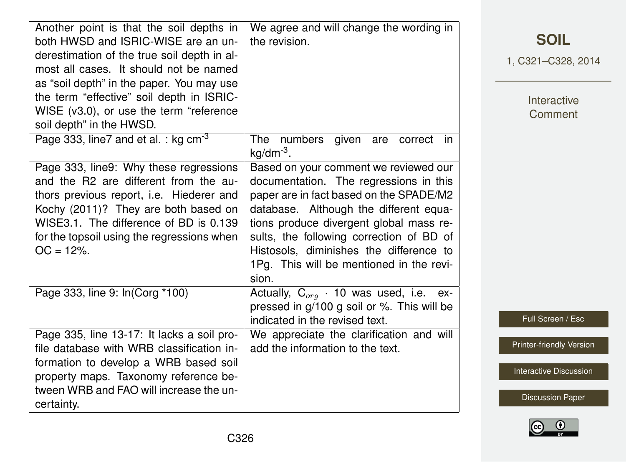| Another point is that the soil depths in<br>both HWSD and ISRIC-WISE are an un-<br>derestimation of the true soil depth in al-<br>most all cases. It should not be named<br>as "soil depth" in the paper. You may use<br>the term "effective" soil depth in ISRIC-<br>WISE (v3.0), or use the term "reference<br>soil depth" in the HWSD. | We agree and will change the wording in<br>the revision.                                                                                                                                                                                                                                                                                                    |  |  |
|-------------------------------------------------------------------------------------------------------------------------------------------------------------------------------------------------------------------------------------------------------------------------------------------------------------------------------------------|-------------------------------------------------------------------------------------------------------------------------------------------------------------------------------------------------------------------------------------------------------------------------------------------------------------------------------------------------------------|--|--|
| Page 333, line7 and et al. : kg cm <sup>-3</sup>                                                                                                                                                                                                                                                                                          | The numbers given<br>are<br>correct<br><i>in</i><br>$kg/dm^{-3}$ .                                                                                                                                                                                                                                                                                          |  |  |
| Page 333, line9: Why these regressions<br>and the R2 are different from the au-<br>thors previous report, i.e. Hiederer and<br>Kochy (2011)? They are both based on<br>WISE3.1. The difference of BD is 0.139<br>for the topsoil using the regressions when<br>$OC = 12%$ .                                                               | Based on your comment we reviewed our<br>documentation. The regressions in this<br>paper are in fact based on the SPADE/M2<br>database. Although the different equa-<br>tions produce divergent global mass re-<br>sults, the following correction of BD of<br>Histosols, diminishes the difference to<br>1Pg. This will be mentioned in the revi-<br>sion. |  |  |
| Page 333, line 9: In(Corg *100)                                                                                                                                                                                                                                                                                                           | Actually, $C_{org}$ · 10 was used, i.e.<br>ex-<br>pressed in g/100 g soil or %. This will be<br>indicated in the revised text.                                                                                                                                                                                                                              |  |  |
| Page 335, line 13-17: It lacks a soil pro-<br>file database with WRB classification in-<br>formation to develop a WRB based soil<br>property maps. Taxonomy reference be-<br>tween WRB and FAO will increase the un-<br>certainty.                                                                                                        | We appreciate the clarification and will<br>add the information to the text.                                                                                                                                                                                                                                                                                |  |  |

1, C321–C328, 2014

Interactive **Comment** 

Full Screen / Esc

[Printer-friendly Version](http://www.soil-discuss.net/1/C321/2014/soild-1-C321-2014-print.pdf)

[Interactive Discussion](http://www.soil-discuss.net/1/327/2014/soild-1-327-2014-discussion.html)

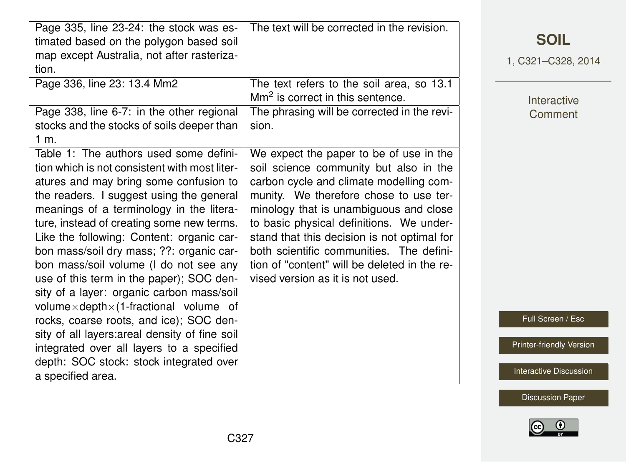| Page 335, line 23-24: the stock was es-<br>timated based on the polygon based soil<br>map except Australia, not after rasteriza-<br>tion.                                                                                                                                                                                                                                                                                                                                                                                                                                                                                                                                                                                                                              | The text will be corrected in the revision.                                                                                                                                                                                                                                                                                                                                                                                                 |
|------------------------------------------------------------------------------------------------------------------------------------------------------------------------------------------------------------------------------------------------------------------------------------------------------------------------------------------------------------------------------------------------------------------------------------------------------------------------------------------------------------------------------------------------------------------------------------------------------------------------------------------------------------------------------------------------------------------------------------------------------------------------|---------------------------------------------------------------------------------------------------------------------------------------------------------------------------------------------------------------------------------------------------------------------------------------------------------------------------------------------------------------------------------------------------------------------------------------------|
| Page 336, line 23: 13.4 Mm2                                                                                                                                                                                                                                                                                                                                                                                                                                                                                                                                                                                                                                                                                                                                            | The text refers to the soil area, so 13.1<br>$\text{Mm}^2$ is correct in this sentence.                                                                                                                                                                                                                                                                                                                                                     |
| Page 338, line 6-7: in the other regional<br>stocks and the stocks of soils deeper than<br>1 m.                                                                                                                                                                                                                                                                                                                                                                                                                                                                                                                                                                                                                                                                        | The phrasing will be corrected in the revi-<br>sion.                                                                                                                                                                                                                                                                                                                                                                                        |
| Table 1: The authors used some defini-<br>tion which is not consistent with most liter-<br>atures and may bring some confusion to<br>the readers. I suggest using the general<br>meanings of a terminology in the litera-<br>ture, instead of creating some new terms.<br>Like the following: Content: organic car-<br>bon mass/soil dry mass; ??: organic car-<br>bon mass/soil volume (I do not see any<br>use of this term in the paper); SOC den-<br>sity of a layer: organic carbon mass/soil<br>volume $\times$ depth $\times$ (1-fractional volume of<br>rocks, coarse roots, and ice); SOC den-<br>sity of all layers: areal density of fine soil<br>integrated over all layers to a specified<br>depth: SOC stock: stock integrated over<br>a specified area. | We expect the paper to be of use in the<br>soil science community but also in the<br>carbon cycle and climate modelling com-<br>munity. We therefore chose to use ter-<br>minology that is unambiguous and close<br>to basic physical definitions. We under-<br>stand that this decision is not optimal for<br>both scientific communities. The defini-<br>tion of "content" will be deleted in the re-<br>vised version as it is not used. |

**[SOIL](http://www.soil-discuss.net)**

1, C321–C328, 2014

Interactive **Comment** 

Full Screen / Esc

[Printer-friendly Version](http://www.soil-discuss.net/1/C321/2014/soild-1-C321-2014-print.pdf)

[Interactive Discussion](http://www.soil-discuss.net/1/327/2014/soild-1-327-2014-discussion.html)